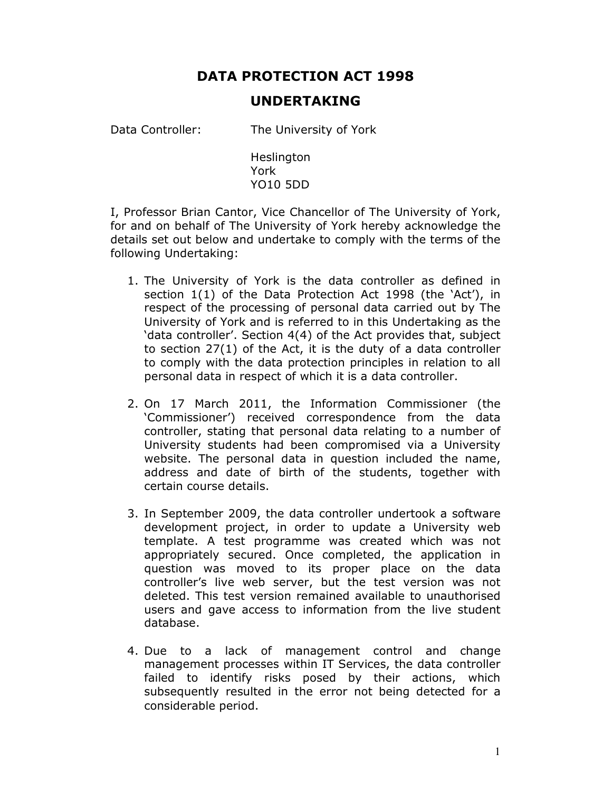## DATA PROTECTION ACT 1998

## UNDERTAKING

Data Controller: The University of York

**Heslington** York YO10 5DD

I, Professor Brian Cantor, Vice Chancellor of The University of York, for and on behalf of The University of York hereby acknowledge the details set out below and undertake to comply with the terms of the following Undertaking:

- 1. The University of York is the data controller as defined in section 1(1) of the Data Protection Act 1998 (the 'Act'), in respect of the processing of personal data carried out by The University of York and is referred to in this Undertaking as the 'data controller'. Section 4(4) of the Act provides that, subject to section 27(1) of the Act, it is the duty of a data controller to comply with the data protection principles in relation to all personal data in respect of which it is a data controller.
- 2. On 17 March 2011, the Information Commissioner (the 'Commissioner') received correspondence from the data controller, stating that personal data relating to a number of University students had been compromised via a University website. The personal data in question included the name, address and date of birth of the students, together with certain course details.
- 3. In September 2009, the data controller undertook a software development project, in order to update a University web template. A test programme was created which was not appropriately secured. Once completed, the application in question was moved to its proper place on the data controller's live web server, but the test version was not deleted. This test version remained available to unauthorised users and gave access to information from the live student database.
- 4. Due to a lack of management control and change management processes within IT Services, the data controller failed to identify risks posed by their actions, which subsequently resulted in the error not being detected for a considerable period.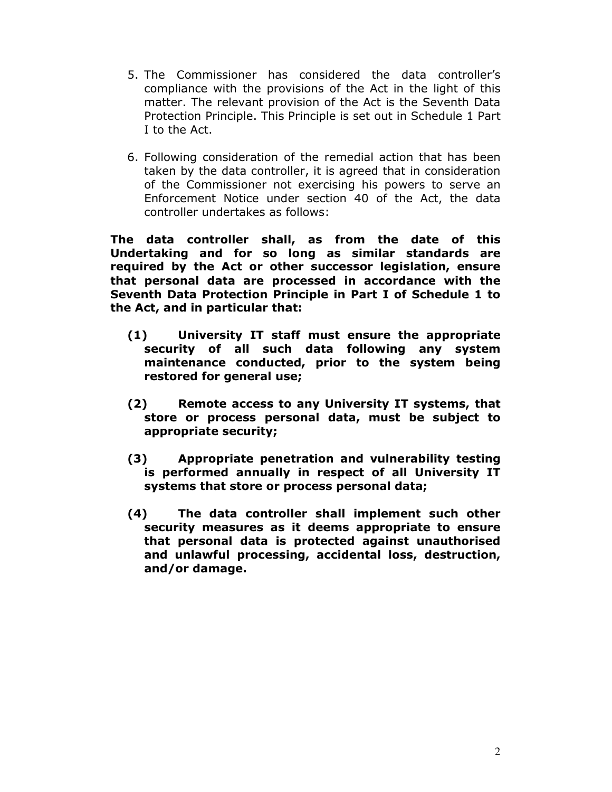- 5. The Commissioner has considered the data controller's compliance with the provisions of the Act in the light of this matter. The relevant provision of the Act is the Seventh Data Protection Principle. This Principle is set out in Schedule 1 Part I to the Act.
- 6. Following consideration of the remedial action that has been taken by the data controller, it is agreed that in consideration of the Commissioner not exercising his powers to serve an Enforcement Notice under section 40 of the Act, the data controller undertakes as follows:

The data controller shall, as from the date of this Undertaking and for so long as similar standards are required by the Act or other successor legislation, ensure that personal data are processed in accordance with the Seventh Data Protection Principle in Part I of Schedule 1 to the Act, and in particular that:

- (1) University IT staff must ensure the appropriate security of all such data following any system maintenance conducted, prior to the system being restored for general use;
- (2) Remote access to any University IT systems, that store or process personal data, must be subject to appropriate security;
- (3) Appropriate penetration and vulnerability testing is performed annually in respect of all University IT systems that store or process personal data;
- (4) The data controller shall implement such other security measures as it deems appropriate to ensure that personal data is protected against unauthorised and unlawful processing, accidental loss, destruction, and/or damage.